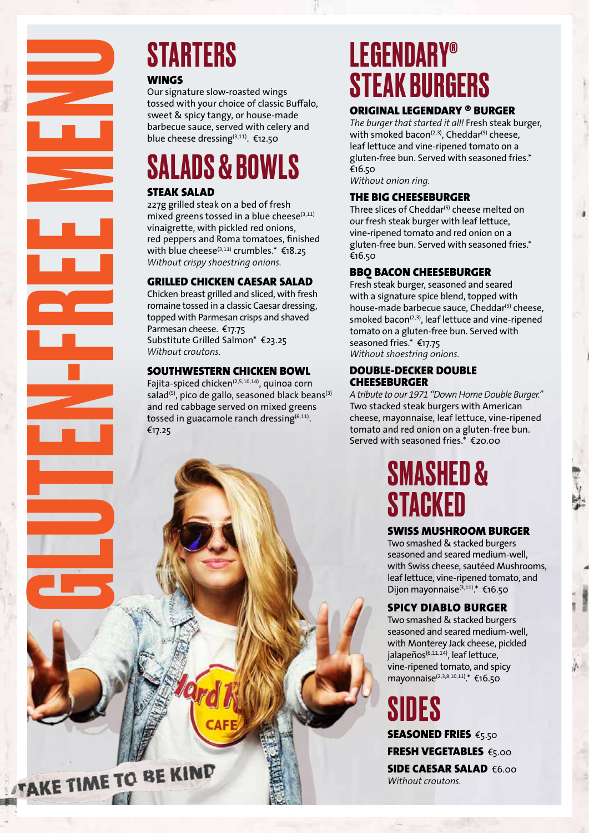

# **WINGS**

Our signature slow-roasted wings tossed with your choice of classic Buffalo, sweet & spicy tangy, or house-made barbecue sauce, served with celery and blue cheese dressing(3,11). €12.50

# SALADS & BOWLS

## STEAK SALAD

227g grilled steak on a bed of fresh mixed greens tossed in a blue cheese $(3,11)$ vinaigrette, with pickled red onions, red peppers and Roma tomatoes, finished with blue cheese<sup>(3,11)</sup> crumbles.\*  $£18.25$ *Without crispy shoestring onions.*

## GRILLED CHICKEN CAESAR SALAD

Chicken breast grilled and sliced, with fresh romaine tossed in a classic Caesar dressing, topped with Parmesan crisps and shaved Parmesan cheese. €17.75 Substitute Grilled Salmon\* €23.25 *Without croutons.* 

## SOUTHWESTERN CHICKEN BOWL

Fajita-spiced chicken<sup>(2,5,10,14)</sup>, quinoa corn salad<sup>(5)</sup>, pico de gallo, seasoned black beans<sup>(3)</sup> and red cabbage served on mixed greens tossed in guacamole ranch dressing<sup> $(6,11)$ </sup>. €17.25

# LEGENDARY® STEAK BURGERS

## ORIGINAL LEGENDARY ® BURGER

*The burger that started it all!* Fresh steak burger, with smoked bacon<sup> $(2,3)$ </sup>, Cheddar<sup>(5)</sup> cheese, leaf lettuce and vine-ripened tomato on a gluten-free bun. Served with seasoned fries.\* €16.50

*Without onion ring.*

## THE BIG CHEESEBURGER

Three slices of Cheddar<sup>(5)</sup> cheese melted on our fresh steak burger with leaf lettuce, vine-ripened tomato and red onion on a gluten-free bun. Served with seasoned fries.\* €16.50

## BBQ BACON CHEESEBURGER

Fresh steak burger, seasoned and seared with a signature spice blend, topped with house-made barbecue sauce, Cheddar<sup>(5)</sup> cheese, smoked bacon<sup> $(2,3)$ </sup>, leaf lettuce and vine-ripened tomato on a gluten-free bun. Served with seasoned fries.\* €17.75 *Without shoestring onions.*

## DOUBLE-DECKER DOUBLE **CHEESEBURGER**

*A tribute to our 1971 "Down Home Double Burger."*  Two stacked steak burgers with American cheese, mayonnaise, leaf lettuce, vine-ripened tomato and red onion on a gluten-free bun. Served with seasoned fries.\* €20.00

## SMASHED & STACKED

## SWISS MUSHROOM BURGER

Two smashed & stacked burgers seasoned and seared medium-well, with Swiss cheese, sautéed Mushrooms, leaf lettuce, vine-ripened tomato, and Dijon mayonnaise<sup>(3,11)</sup>.\* €16.50

## SPICY DIABLO BURGER

Two smashed & stacked burgers seasoned and seared medium-well, with Monterey Jack cheese, pickled jalapeños $^{(6,11,14)}$ , leaf lettuce, vine-ripened tomato, and spicy mayonnaise(2,3,8,10,11).\* €16.50

# SIDES

SEASONED FRIES €5.50 FRESH VEGETABLES €5.00 SIDE CAESAR SALAD €6.00 *Without croutons.*